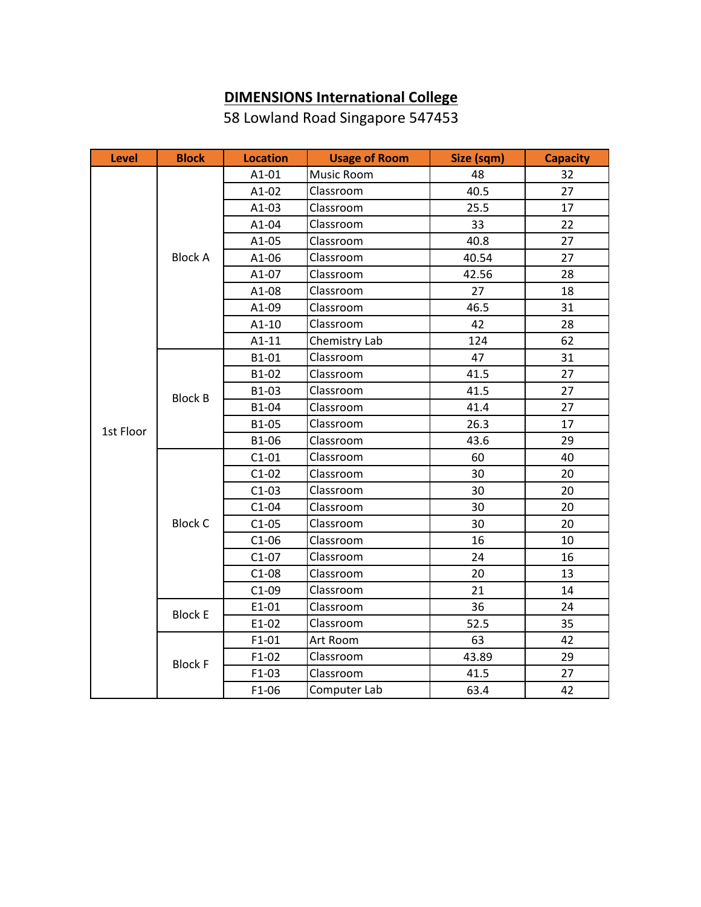## **DIMENSIONS International College**

58 Lowland Road Singapore 547453

| <b>Level</b> | <b>Block</b>   | <b>Location</b> | <b>Usage of Room</b> | Size (sqm) | <b>Capacity</b> |
|--------------|----------------|-----------------|----------------------|------------|-----------------|
|              |                | $A1-01$         | Music Room           | 48         | 32              |
|              |                | $A1-02$         | Classroom            | 40.5       | 27              |
|              | <b>Block A</b> | $A1-03$         | Classroom            | 25.5       | 17              |
|              |                | A1-04           | Classroom            | 33         | 22              |
|              |                | A1-05           | Classroom            | 40.8       | 27              |
|              |                | $A1-06$         | Classroom            | 40.54      | 27              |
|              |                | A1-07           | Classroom            | 42.56      | 28              |
|              |                | A1-08           | Classroom            | 27         | 18              |
|              |                | A1-09           | Classroom            | 46.5       | 31              |
|              |                | $A1-10$         | Classroom            | 42         | 28              |
|              |                | $A1-11$         | Chemistry Lab        | 124        | 62              |
|              |                | B1-01           | Classroom            | 47         | 31              |
|              |                | B1-02           | Classroom            | 41.5       | 27              |
|              | <b>Block B</b> | B1-03           | Classroom            | 41.5       | 27              |
| 1st Floor    |                | B1-04           | Classroom            | 41.4       | 27              |
|              |                | B1-05           | Classroom            | 26.3       | 17              |
|              |                | B1-06           | Classroom            | 43.6       | 29              |
|              | <b>Block C</b> | $C1-01$         | Classroom            | 60         | 40              |
|              |                | $C1-02$         | Classroom            | 30         | 20              |
|              |                | $C1-03$         | Classroom            | 30         | 20              |
|              |                | $C1-04$         | Classroom            | 30         | 20              |
|              |                | $C1-05$         | Classroom            | 30         | 20              |
|              |                | $C1-06$         | Classroom            | 16         | 10              |
|              |                | $C1-07$         | Classroom            | 24         | 16              |
|              |                | $C1-08$         | Classroom            | 20         | 13              |
|              |                | $C1-09$         | Classroom            | 21         | 14              |
|              | <b>Block E</b> | $E1-01$         | Classroom            | 36         | 24              |
|              |                | E1-02           | Classroom            | 52.5       | 35              |
|              | <b>Block F</b> | $F1-01$         | Art Room             | 63         | 42              |
|              |                | $F1-02$         | Classroom            | 43.89      | 29              |
|              |                | $F1-03$         | Classroom            | 41.5       | 27              |
|              |                | F1-06           | Computer Lab         | 63.4       | 42              |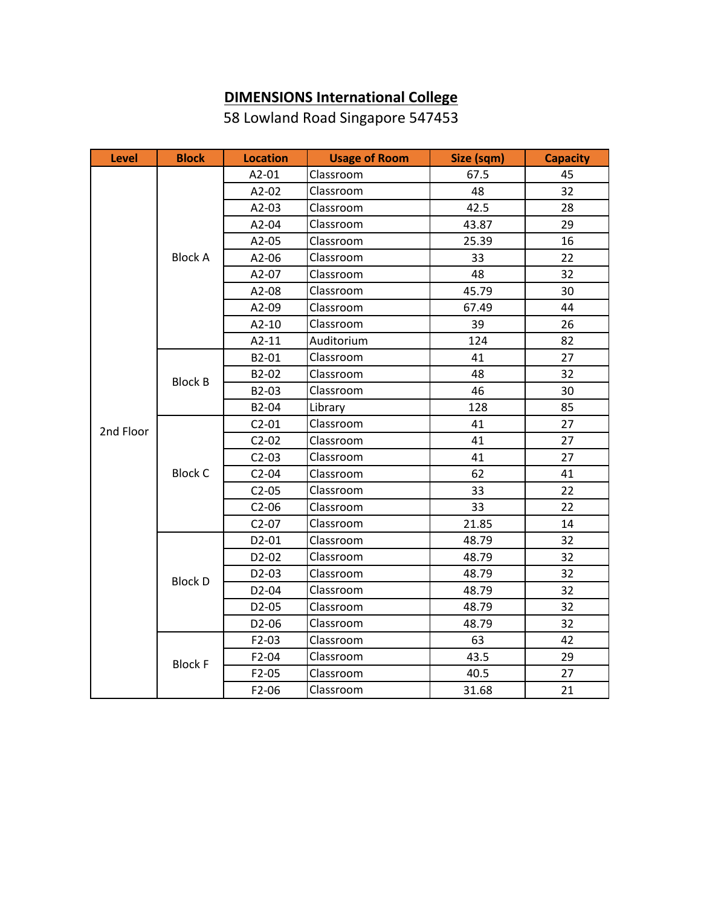## **DIMENSIONS International College**

58 Lowland Road Singapore 547453

| <b>Level</b> | <b>Block</b>   | <b>Location</b>    | <b>Usage of Room</b> | Size (sqm) | <b>Capacity</b> |
|--------------|----------------|--------------------|----------------------|------------|-----------------|
|              | <b>Block A</b> | A2-01              | Classroom            | 67.5       | 45              |
|              |                | A2-02              | Classroom            | 48         | 32              |
|              |                | $A2-03$            | Classroom            | 42.5       | 28              |
|              |                | A2-04              | Classroom            | 43.87      | 29              |
|              |                | A2-05              | Classroom            | 25.39      | 16              |
|              |                | A2-06              | Classroom            | 33         | 22              |
|              |                | A2-07              | Classroom            | 48         | 32              |
|              |                | A2-08              | Classroom            | 45.79      | 30              |
|              |                | A2-09              | Classroom            | 67.49      | 44              |
|              |                | $A2-10$            | Classroom            | 39         | 26              |
|              |                | $A2-11$            | Auditorium           | 124        | 82              |
|              |                | B2-01              | Classroom            | 41         | 27              |
|              | <b>Block B</b> | B2-02              | Classroom            | 48         | 32              |
|              |                | B2-03              | Classroom            | 46         | 30              |
| 2nd Floor    |                | B2-04              | Library              | 128        | 85              |
|              | <b>Block C</b> | $C2-01$            | Classroom            | 41         | 27              |
|              |                | $C2-02$            | Classroom            | 41         | 27              |
|              |                | $C2-03$            | Classroom            | 41         | 27              |
|              |                | $C2-04$            | Classroom            | 62         | 41              |
|              |                | $C2-05$            | Classroom            | 33         | 22              |
|              |                | $C2-06$            | Classroom            | 33         | 22              |
|              |                | $C2-07$            | Classroom            | 21.85      | 14              |
|              | <b>Block D</b> | D2-01              | Classroom            | 48.79      | 32              |
|              |                | D2-02              | Classroom            | 48.79      | 32              |
|              |                | D2-03              | Classroom            | 48.79      | 32              |
|              |                | D2-04              | Classroom            | 48.79      | 32              |
|              |                | D2-05              | Classroom            | 48.79      | 32              |
|              |                | D2-06              | Classroom            | 48.79      | 32              |
|              | <b>Block F</b> | $F2-03$            | Classroom            | 63         | 42              |
|              |                | F2-04              | Classroom            | 43.5       | 29              |
|              |                | $F2-05$            | Classroom            | 40.5       | 27              |
|              |                | F <sub>2</sub> -06 | Classroom            | 31.68      | 21              |